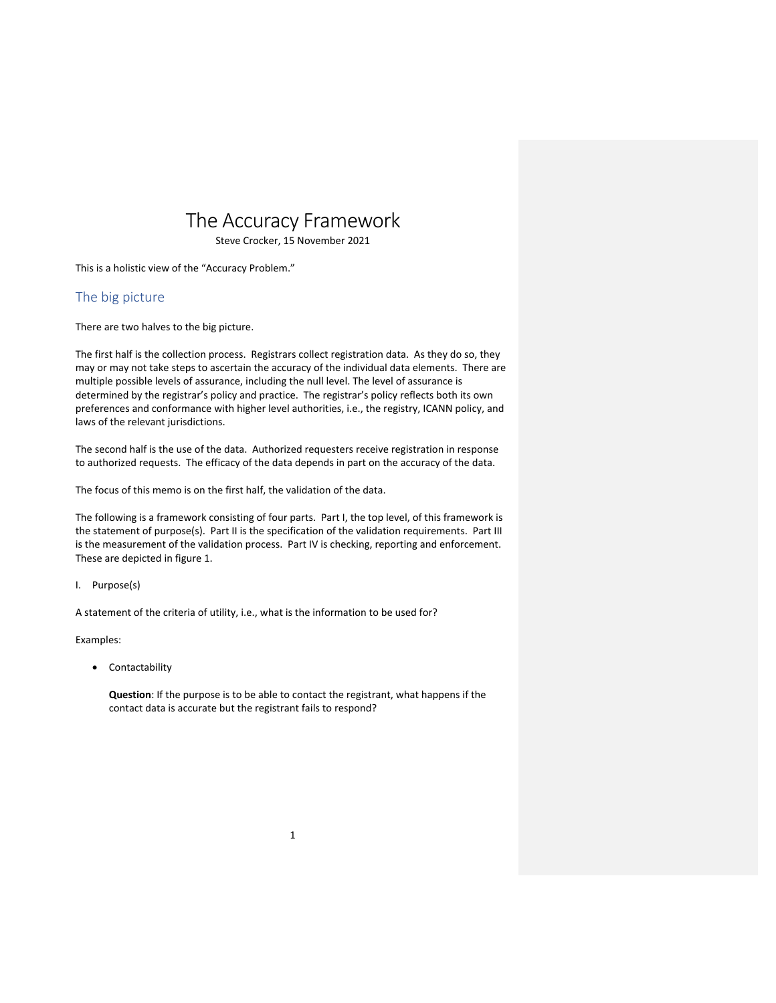# The Accuracy Framework

Steve Crocker, 15 November 2021

This is a holistic view of the "Accuracy Problem."

# The big picture

There are two halves to the big picture.

The first half is the collection process. Registrars collect registration data. As they do so, they may or may not take steps to ascertain the accuracy of the individual data elements. There are multiple possible levels of assurance, including the null level. The level of assurance is determined by the registrar's policy and practice. The registrar's policy reflects both its own preferences and conformance with higher level authorities, i.e., the registry, ICANN policy, and laws of the relevant jurisdictions.

The second half is the use of the data. Authorized requesters receive registration in response to authorized requests. The efficacy of the data depends in part on the accuracy of the data.

The focus of this memo is on the first half, the validation of the data.

The following is a framework consisting of four parts. Part I, the top level, of this framework is the statement of purpose(s). Part II is the specification of the validation requirements. Part III is the measurement of the validation process. Part IV is checking, reporting and enforcement. These are depicted in figure 1.

## I. Purpose(s)

A statement of the criteria of utility, i.e., what is the information to be used for?

Examples:

• Contactability

**Question**: If the purpose is to be able to contact the registrant, what happens if the contact data is accurate but the registrant fails to respond?

1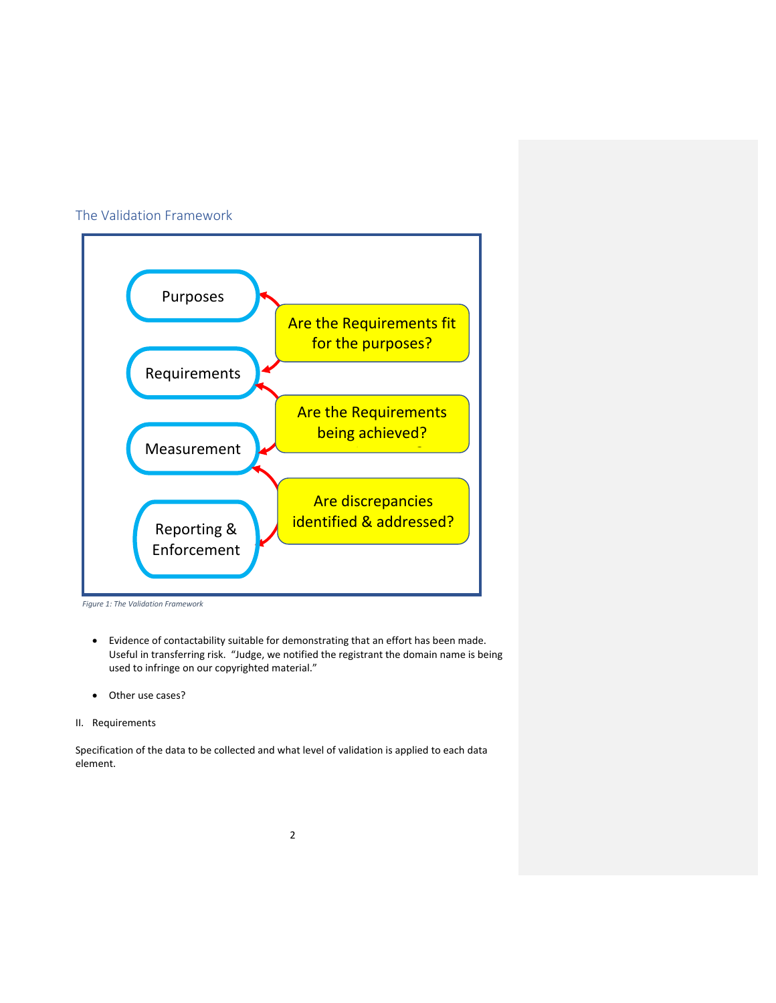## The Validation Framework



*Figure 1: The Validation Framework*

- Evidence of contactability suitable for demonstrating that an effort has been made. Useful in transferring risk. "Judge, we notified the registrant the domain name is being used to infringe on our copyrighted material."
- Other use cases?
- II. Requirements

Specification of the data to be collected and what level of validation is applied to each data element.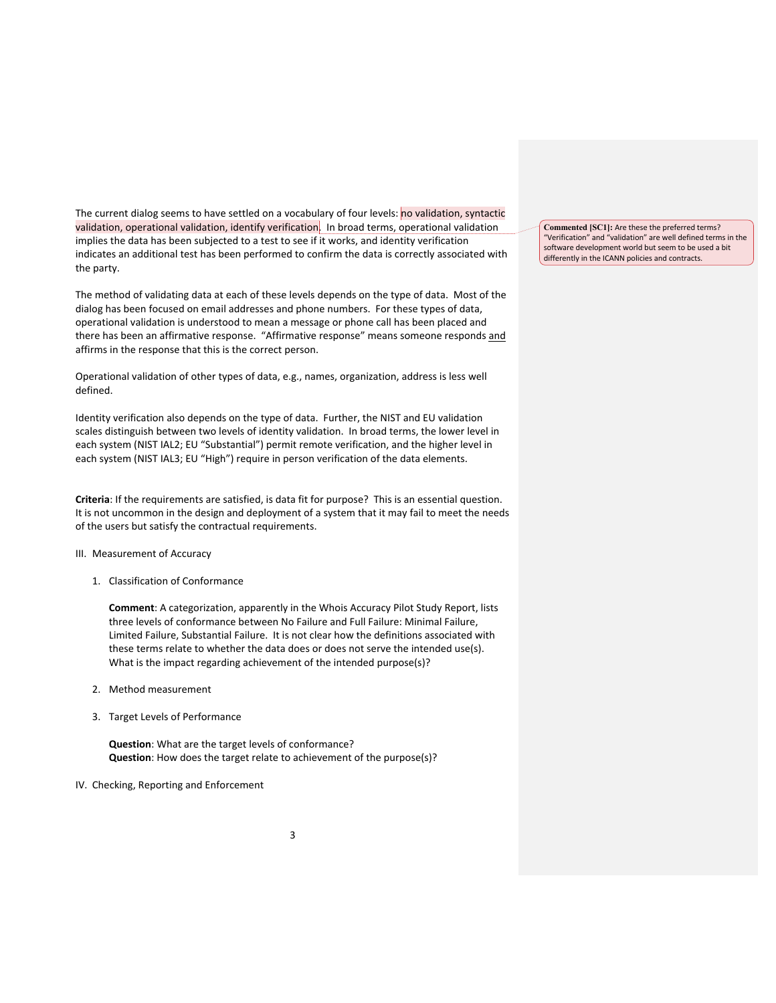The current dialog seems to have settled on a vocabulary of four levels: no validation, syntactic validation, operational validation, identify verification. In broad terms, operational validation implies the data has been subjected to a test to see if it works, and identity verification indicates an additional test has been performed to confirm the data is correctly associated with the party.

The method of validating data at each of these levels depends on the type of data. Most of the dialog has been focused on email addresses and phone numbers. For these types of data, operational validation is understood to mean a message or phone call has been placed and there has been an affirmative response. "Affirmative response" means someone responds and affirms in the response that this is the correct person.

Operational validation of other types of data, e.g., names, organization, address is less well defined.

Identity verification also depends on the type of data. Further, the NIST and EU validation scales distinguish between two levels of identity validation. In broad terms, the lower level in each system (NIST IAL2; EU "Substantial") permit remote verification, and the higher level in each system (NIST IAL3; EU "High") require in person verification of the data elements.

**Criteria**: If the requirements are satisfied, is data fit for purpose? This is an essential question. It is not uncommon in the design and deployment of a system that it may fail to meet the needs of the users but satisfy the contractual requirements.

#### III. Measurement of Accuracy

1. Classification of Conformance

**Comment**: A categorization, apparently in the Whois Accuracy Pilot Study Report, lists three levels of conformance between No Failure and Full Failure: Minimal Failure, Limited Failure, Substantial Failure. It is not clear how the definitions associated with these terms relate to whether the data does or does not serve the intended use(s). What is the impact regarding achievement of the intended purpose(s)?

- 2. Method measurement
- 3. Target Levels of Performance

**Question**: What are the target levels of conformance? **Question**: How does the target relate to achievement of the purpose(s)?

#### IV. Checking, Reporting and Enforcement

**Commented [SC1]:** Are these the preferred terms? "Verification" and "validation" are well defined terms in the software development world but seem to be used a bit differently in the ICANN policies and contracts.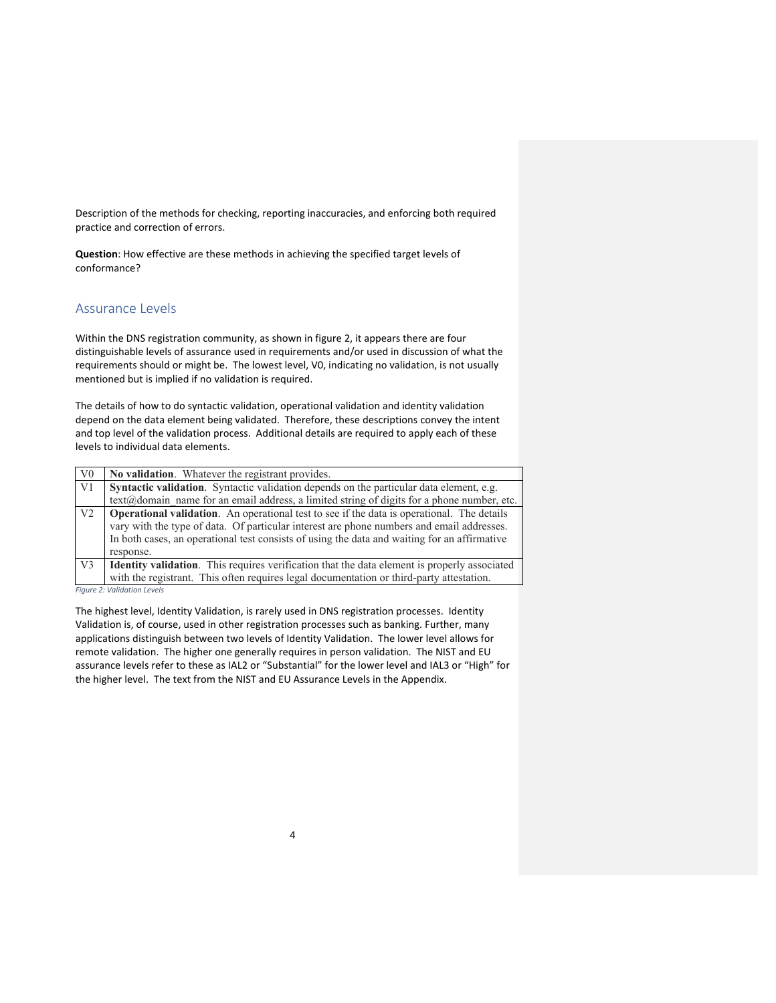Description of the methods for checking, reporting inaccuracies, and enforcing both required practice and correction of errors.

**Question**: How effective are these methods in achieving the specified target levels of conformance?

## Assurance Levels

Within the DNS registration community, as shown in figure 2, it appears there are four distinguishable levels of assurance used in requirements and/or used in discussion of what the requirements should or might be. The lowest level, V0, indicating no validation, is not usually mentioned but is implied if no validation is required.

The details of how to do syntactic validation, operational validation and identity validation depend on the data element being validated. Therefore, these descriptions convey the intent and top level of the validation process. Additional details are required to apply each of these levels to individual data elements.

| V <sub>0</sub> | No validation. Whatever the registrant provides.                                                           |
|----------------|------------------------------------------------------------------------------------------------------------|
| V1             | <b>Syntactic validation.</b> Syntactic validation depends on the particular data element, e.g.             |
|                | $text(\hat{\omega})$ domain name for an email address, a limited string of digits for a phone number, etc. |
| V <sub>2</sub> | <b>Operational validation.</b> An operational test to see if the data is operational. The details          |
|                | vary with the type of data. Of particular interest are phone numbers and email addresses.                  |
|                | In both cases, an operational test consists of using the data and waiting for an affirmative               |
|                | response.                                                                                                  |
| V <sub>3</sub> | <b>Identity validation.</b> This requires verification that the data element is properly associated        |
|                | with the registrant. This often requires legal documentation or third-party attestation.                   |
|                |                                                                                                            |

*Figure 2: Validation Levels*

The highest level, Identity Validation, is rarely used in DNS registration processes. Identity Validation is, of course, used in other registration processes such as banking. Further, many applications distinguish between two levels of Identity Validation. The lower level allows for remote validation. The higher one generally requires in person validation. The NIST and EU assurance levels refer to these as IAL2 or "Substantial" for the lower level and IAL3 or "High" for the higher level. The text from the NIST and EU Assurance Levels in the Appendix.